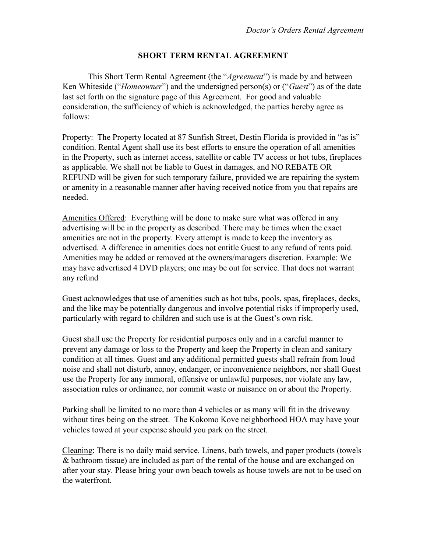#### SHORT TERM RENTAL AGREEMENT

This Short Term Rental Agreement (the "Agreement") is made by and between Ken Whiteside ("Homeowner") and the undersigned person(s) or ("Guest") as of the date last set forth on the signature page of this Agreement. For good and valuable consideration, the sufficiency of which is acknowledged, the parties hereby agree as follows:

Property: The Property located at 87 Sunfish Street, Destin Florida is provided in "as is" condition. Rental Agent shall use its best efforts to ensure the operation of all amenities in the Property, such as internet access, satellite or cable TV access or hot tubs, fireplaces as applicable. We shall not be liable to Guest in damages, and NO REBATE OR REFUND will be given for such temporary failure, provided we are repairing the system or amenity in a reasonable manner after having received notice from you that repairs are needed.

Amenities Offered: Everything will be done to make sure what was offered in any advertising will be in the property as described. There may be times when the exact amenities are not in the property. Every attempt is made to keep the inventory as advertised. A difference in amenities does not entitle Guest to any refund of rents paid. Amenities may be added or removed at the owners/managers discretion. Example: We may have advertised 4 DVD players; one may be out for service. That does not warrant any refund

Guest acknowledges that use of amenities such as hot tubs, pools, spas, fireplaces, decks, and the like may be potentially dangerous and involve potential risks if improperly used, particularly with regard to children and such use is at the Guest's own risk.

Guest shall use the Property for residential purposes only and in a careful manner to prevent any damage or loss to the Property and keep the Property in clean and sanitary condition at all times. Guest and any additional permitted guests shall refrain from loud noise and shall not disturb, annoy, endanger, or inconvenience neighbors, nor shall Guest use the Property for any immoral, offensive or unlawful purposes, nor violate any law, association rules or ordinance, nor commit waste or nuisance on or about the Property.

Parking shall be limited to no more than 4 vehicles or as many will fit in the driveway without tires being on the street. The Kokomo Kove neighborhood HOA may have your vehicles towed at your expense should you park on the street.

Cleaning: There is no daily maid service. Linens, bath towels, and paper products (towels & bathroom tissue) are included as part of the rental of the house and are exchanged on after your stay. Please bring your own beach towels as house towels are not to be used on the waterfront.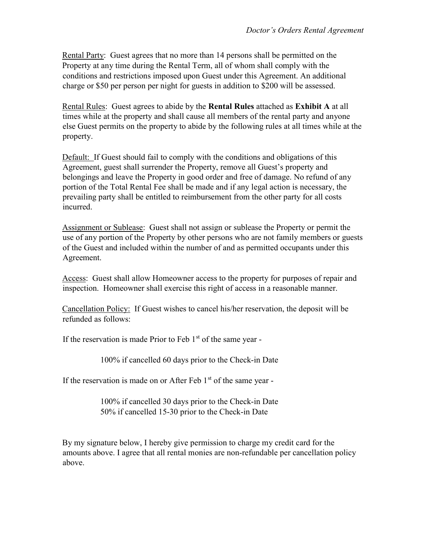Rental Party: Guest agrees that no more than 14 persons shall be permitted on the Property at any time during the Rental Term, all of whom shall comply with the conditions and restrictions imposed upon Guest under this Agreement. An additional charge or \$50 per person per night for guests in addition to \$200 will be assessed.

Rental Rules: Guest agrees to abide by the Rental Rules attached as Exhibit A at all times while at the property and shall cause all members of the rental party and anyone else Guest permits on the property to abide by the following rules at all times while at the property.

Default: If Guest should fail to comply with the conditions and obligations of this Agreement, guest shall surrender the Property, remove all Guest's property and belongings and leave the Property in good order and free of damage. No refund of any portion of the Total Rental Fee shall be made and if any legal action is necessary, the prevailing party shall be entitled to reimbursement from the other party for all costs incurred.

Assignment or Sublease: Guest shall not assign or sublease the Property or permit the use of any portion of the Property by other persons who are not family members or guests of the Guest and included within the number of and as permitted occupants under this Agreement.

Access: Guest shall allow Homeowner access to the property for purposes of repair and inspection. Homeowner shall exercise this right of access in a reasonable manner.

Cancellation Policy: If Guest wishes to cancel his/her reservation, the deposit will be refunded as follows:

If the reservation is made Prior to Feb  $1<sup>st</sup>$  of the same year -

100% if cancelled 60 days prior to the Check-in Date

If the reservation is made on or After Feb  $1<sup>st</sup>$  of the same year -

100% if cancelled 30 days prior to the Check-in Date 50% if cancelled 15-30 prior to the Check-in Date

By my signature below, I hereby give permission to charge my credit card for the amounts above. I agree that all rental monies are non-refundable per cancellation policy above.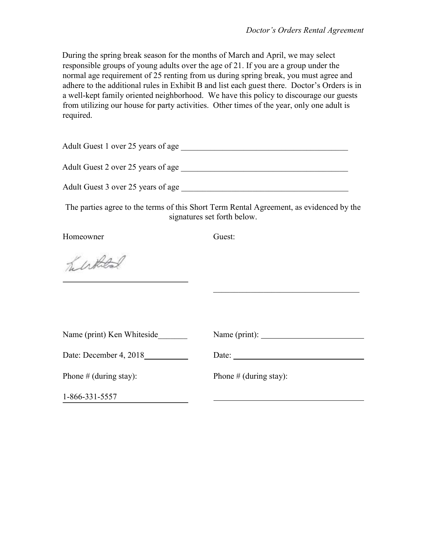During the spring break season for the months of March and April, we may select responsible groups of young adults over the age of 21. If you are a group under the normal age requirement of 25 renting from us during spring break, you must agree and adhere to the additional rules in Exhibit B and list each guest there. Doctor's Orders is in a well-kept family oriented neighborhood. We have this policy to discourage our guests from utilizing our house for party activities. Other times of the year, only one adult is required.

| Adult Guest 1 over 25 years of age |                                                                                                                        |
|------------------------------------|------------------------------------------------------------------------------------------------------------------------|
|                                    |                                                                                                                        |
|                                    |                                                                                                                        |
|                                    | The parties agree to the terms of this Short Term Rental Agreement, as evidenced by the<br>signatures set forth below. |
| Homeowner                          | Guest:                                                                                                                 |
| helskeld                           |                                                                                                                        |
| Name (print) Ken Whiteside         | the control of the control of the control of the control of the control of the control of                              |
|                                    |                                                                                                                        |
| Date: December 4, 2018             | Date:                                                                                                                  |
| Phone $#$ (during stay):           | Phone $#$ (during stay):                                                                                               |
| 1-866-331-5557                     |                                                                                                                        |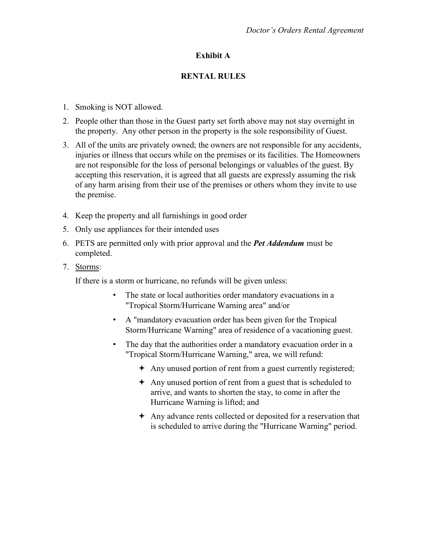## Exhibit A

### RENTAL RULES

- 1. Smoking is NOT allowed.
- 2. People other than those in the Guest party set forth above may not stay overnight in the property. Any other person in the property is the sole responsibility of Guest.
- 3. All of the units are privately owned; the owners are not responsible for any accidents, injuries or illness that occurs while on the premises or its facilities. The Homeowners are not responsible for the loss of personal belongings or valuables of the guest. By accepting this reservation, it is agreed that all guests are expressly assuming the risk of any harm arising from their use of the premises or others whom they invite to use the premise.
- 4. Keep the property and all furnishings in good order
- 5. Only use appliances for their intended uses
- 6. PETS are permitted only with prior approval and the **Pet Addendum** must be completed.
- 7. Storms:

If there is a storm or hurricane, no refunds will be given unless:

- The state or local authorities order mandatory evacuations in a "Tropical Storm/Hurricane Warning area" and/or
- A "mandatory evacuation order has been given for the Tropical Storm/Hurricane Warning" area of residence of a vacationing guest.
- The day that the authorities order a mandatory evacuation order in a "Tropical Storm/Hurricane Warning," area, we will refund:
	- Any unused portion of rent from a guest currently registered;
	- Any unused portion of rent from a guest that is scheduled to arrive, and wants to shorten the stay, to come in after the Hurricane Warning is lifted; and
	- Any advance rents collected or deposited for a reservation that is scheduled to arrive during the "Hurricane Warning" period.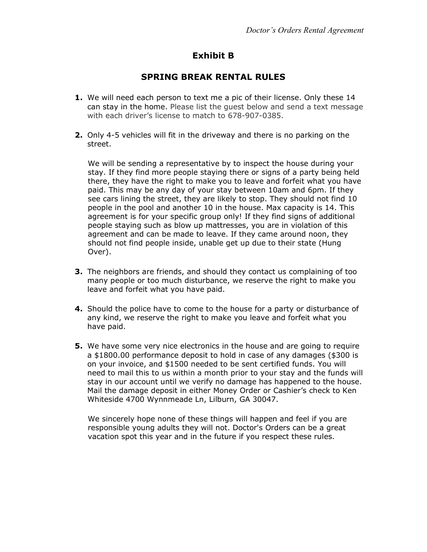# Exhibit B

## SPRING BREAK RENTAL RULES

- 1. We will need each person to text me a pic of their license. Only these 14 can stay in the home. Please list the guest below and send a text message with each driver's license to match to 678-907-0385.
- 2. Only 4-5 vehicles will fit in the driveway and there is no parking on the street.

We will be sending a representative by to inspect the house during your stay. If they find more people staying there or signs of a party being held there, they have the right to make you to leave and forfeit what you have paid. This may be any day of your stay between 10am and 6pm. If they see cars lining the street, they are likely to stop. They should not find 10 people in the pool and another 10 in the house. Max capacity is 14. This agreement is for your specific group only! If they find signs of additional people staying such as blow up mattresses, you are in violation of this agreement and can be made to leave. If they came around noon, they should not find people inside, unable get up due to their state (Hung Over).

- **3.** The neighbors are friends, and should they contact us complaining of too many people or too much disturbance, we reserve the right to make you leave and forfeit what you have paid.
- 4. Should the police have to come to the house for a party or disturbance of any kind, we reserve the right to make you leave and forfeit what you have paid.
- **5.** We have some very nice electronics in the house and are going to require a \$1800.00 performance deposit to hold in case of any damages (\$300 is on your invoice, and \$1500 needed to be sent certified funds. You will need to mail this to us within a month prior to your stay and the funds will stay in our account until we verify no damage has happened to the house. Mail the damage deposit in either Money Order or Cashier's check to Ken Whiteside 4700 Wynnmeade Ln, Lilburn, GA 30047.

We sincerely hope none of these things will happen and feel if you are responsible young adults they will not. Doctor's Orders can be a great vacation spot this year and in the future if you respect these rules.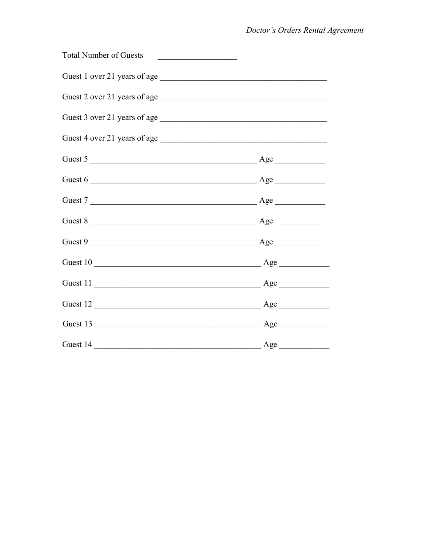| <b>Total Number of Guests</b><br><u> 1980 - Andrea Albert III, martin a</u> |  |
|-----------------------------------------------------------------------------|--|
|                                                                             |  |
| Guest 2 over 21 years of age                                                |  |
|                                                                             |  |
|                                                                             |  |
| Guest 5                                                                     |  |
| Guest 6                                                                     |  |
| Guest 7                                                                     |  |
| Guest 8                                                                     |  |
| Guest 9                                                                     |  |
| Guest 10                                                                    |  |
| Guest 11                                                                    |  |
|                                                                             |  |
|                                                                             |  |
|                                                                             |  |